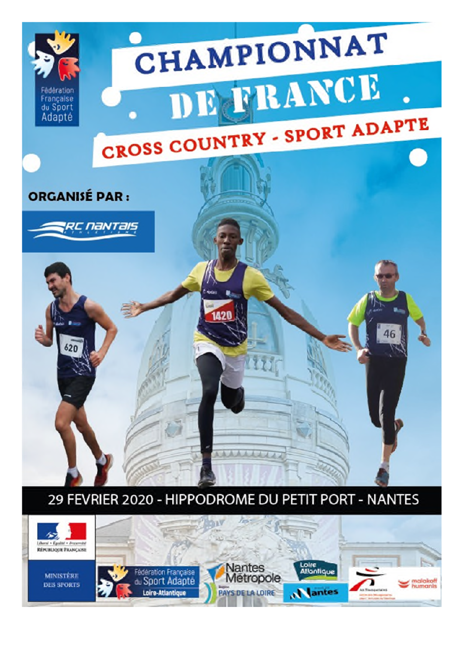

# 29 FEVRIER 2020 - HIPPODROME DU PETIT PORT - NANTES

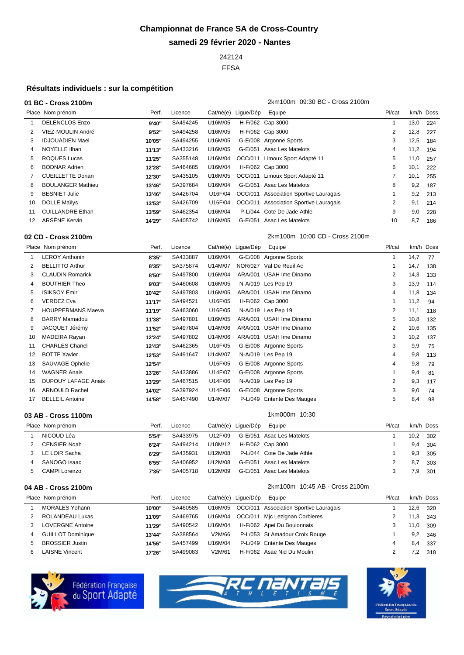# **Championnat de France SA de Cross-Country samedi 29 février 2020 - Nantes**

FFSA

### **Résultats individuels : sur la compétition**

#### **01 BC - Cross 2100m** 2km100m 09:30 BC - Cross 2100m

Place Nom prénom entrantier de la Perf. Licence Cat/né(e) Ligue/Dép Equipe Place Pl/cat km/h Doss DELENCLOS Enzo **9'40''** SA494245 U16M/05 H-F/062 Cap 3000 1 13,0 224 VIEZ-MOULIN André **9'52''** SA494258 U16M/05 H-F/062 Cap 3000 2 12,8 227 IDJOUADIEN Mael **10'05''** SA494255 U16M/05 G-E/008 Argonne Sports 3 12,5 184 NOYELLE Ilhan **11'13''** SA433216 U16M/05 G-E/051 Asac Les Matelots 4 11,2 194 ROQUES Lucas **11'25''** SA355148 U16M/04 OCC/011 Limoux Sport Adapté 11 5 11,0 257 BODNAR Adrien **12'28''** SA464685 U16M/04 H-F/062 Cap 3000 6 10,1 222 CUEILLETTE Dorian **12'30''** SA435105 U16M/05 OCC/011 Limoux Sport Adapté 11 7 10,1 255 BOULANGER Mathieu **13'46''** SA397684 U16M/04 G-E/051 Asac Les Matelots 8 9,2 187 BESNIET Julie **13'46''** SA426704 U16F/04 OCC/011 Association Sportive Lauragais 1 9,2 213 DOLLE Maïlys **13'53''** SA426709 U16F/04 OCC/011 Association Sportive Lauragais 2 9,1 214 CUILLANDRE Ethan **13'59''** SA462354 U16M/04 P-L/044 Cote De Jade Athle 9 9,0 228 ARSÈNE Kervin **14'29''** SA405742 U16M/05 G-E/051 Asac Les Matelots 10 8,7 186

**02 CD - Cross 2100m** 2km100m 10:00 CD - Cross 2100m

|    | Place Nom prénom           | Perf.  | Licence  | Cat/né(e) Ligue/Dép | Equipe                     | Pl/cat         |      | km/h Doss |
|----|----------------------------|--------|----------|---------------------|----------------------------|----------------|------|-----------|
|    | <b>LEROY Anthonin</b>      | 8'35"  | SA433887 | U16M/04             | G-E/008 Argonne Sports     |                | 14,7 | 77        |
| 2  | <b>BELLITTO Arthur</b>     | 8'35"  | SA375874 | U14M/07             | NOR/027 Val De Reuil Ac    |                | 14,7 | 138       |
| 3  | <b>CLAUDIN Romarick</b>    | 8'50"  | SA497800 | U16M/04             | ARA/001 USAH Ime Dinamo    | 2              | 14,3 | 133       |
| 4  | <b>BOUTHIER Theo</b>       | 9'03"  | SA460608 | U16M/05             | N-A/019 Les Pep 19         | 3              | 13,9 | 114       |
| 5  | <b>ISIKSOY Emir</b>        | 10'42" | SA497803 | U16M/05             | ARA/001 USAH Ime Dinamo    | 4              | 11,8 | 134       |
| 6  | VERDEZ Eva                 | 11'17" | SA494521 | U16F/05             | H-F/062 Cap 3000           |                | 11,2 | 94        |
|    | <b>HOUPPERMANS Maeva</b>   | 11'19" | SA463060 | U16F/05             | N-A/019 Les Pep 19         | 2              | 11,1 | 118       |
| 8  | <b>BARRY Mamadou</b>       | 11'38" | SA497801 | U16M/05             | ARA/001 USAH Ime Dinamo    | 5              | 10,8 | 132       |
|    | JACQUET Jérémy             | 11'52" | SA497804 | U14M/06             | ARA/001 USAH Ime Dinamo    | $\overline{2}$ | 10,6 | 135       |
| 10 | MADEIRA Rayan              | 12'24" | SA497802 | U14M/06             | ARA/001 USAH Ime Dinamo    | 3              | 10,2 | 137       |
| 11 | <b>CHARLES Chanel</b>      | 12'43" | SA462365 | U16F/05             | G-E/008 Argonne Sports     | 3              | 9,9  | 75        |
| 12 | <b>BOTTE Xavier</b>        | 12'53" | SA491647 | U14M/07             | N-A/019 Les Pep 19         | 4              | 9,8  | 113       |
| 13 | SAUVAGE Ophelie            | 12'54" |          | U16F/05             | G-E/008 Argonne Sports     | 4              | 9,8  | 79        |
| 14 | WAGNER Anais               | 13'26" | SA433886 | U14F/07             | G-E/008 Argonne Sports     |                | 9,4  | 81        |
| 15 | <b>DUPOUY LAFAGE Anais</b> | 13'29" | SA467515 | U14F/06             | N-A/019 Les Pep 19         | 2              | 9,3  | 117       |
| 16 | <b>ARNOULD Rachel</b>      | 14'02" | SA397924 | U14F/06             | G-E/008 Argonne Sports     | 3              | 9,0  | 74        |
| 17 | <b>BELLEIL Antoine</b>     | 14'58" | SA457490 | U14M/07             | P-L/049 Entente Des Mauges | 5              | 8,4  | 98        |

#### **03 AB - Cross 1100m 10:30**

| Place Nom prénom    | Perf. | Licence  | Cat/né(e) Lique/Dép | Equipe                     | Pl/cat | km/h Doss |     |
|---------------------|-------|----------|---------------------|----------------------------|--------|-----------|-----|
| NICOUD Léa          | 5'54" | SA433975 | U12F/09             | G-E/051 Asac Les Matelots  |        | 10,2      | 302 |
| <b>CENSIER Noah</b> | 6'24" | SA494214 | U10M/12             | H-F/062 Cap 3000           |        | 9,4       | 304 |
| LE LOIR Sacha       | 6'29" | SA435931 | U12M/08             | P-L/044 Cote De Jade Athle |        | 9,3       | 305 |
| SANOGO Isaac        | 6'55" | SA406952 | U12M/08             | G-E/051 Asac Les Matelots  |        | 8,7       | 303 |
| CAMPI Lorenzo       | 7'35" | SA405718 | U12M/09             | G-E/051 Asac Les Matelots  |        | 7.9       | 301 |

#### **04 AB - Cross 2100m** 2km100m 10:45 AB - Cross 2100m

|                | Place Nom prénom         | Perf.  | Licence  | Cat/né(e) Lique/Dép | Equipe                                         | Pl/cat | km/h Doss |     |
|----------------|--------------------------|--------|----------|---------------------|------------------------------------------------|--------|-----------|-----|
|                | <b>MORALES Yohann</b>    | 10'00" | SA460585 |                     | U16M/05 OCC/011 Association Sportive Lauragais |        | 12,6      | 320 |
|                | 2 ROLANDEAU Lukas        | 11'09" | SA469765 |                     | U16M/04 OCC/011 Mjc Lezignan Corbieres         |        | 11,3      | 343 |
| 3              | <b>LOVERGNE Antoine</b>  | 11'29" | SA490542 | U16M/04             | H-F/062 Apei Du Boulonnais                     |        | 11,0      | 309 |
| $\overline{4}$ | <b>GUILLOT Dominique</b> | 13'44" | SA388564 | V2M/66              | P-L/053 St Amadour Croix Rouge                 |        | 9,2       | 346 |
| -5             | <b>BROSSIER Justin</b>   | 14'56" | SA457499 | U16M/04             | P-L/049 Entente Des Mauges                     |        | 8.4       | 337 |
| 6              | <b>LAISNE Vincent</b>    | 17'26" | SA499083 | V2M/61              | H-F/062 Asae Nid Du Moulin                     |        | 7,2       | 318 |





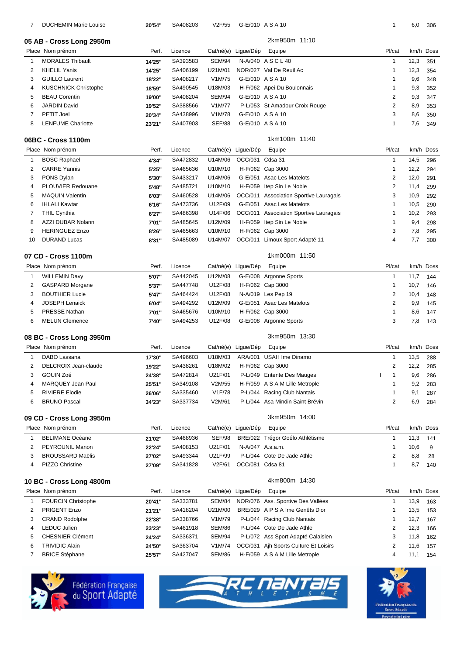| 7              | <b>DUCHEMIN Marie Louise</b>           | 20'54" | SA408203 | V2F/55        |                     | G-E/010 A S A 10                       | 1                       | 6,0  | 306       |
|----------------|----------------------------------------|--------|----------|---------------|---------------------|----------------------------------------|-------------------------|------|-----------|
|                | 05 AB - Cross Long 2950m               |        |          |               |                     | 2km950m 11:10                          |                         |      |           |
|                | Place Nom prénom                       | Perf.  | Licence  | Cat/né(e)     | Ligue/Dép           | Equipe                                 | Pl/cat                  |      | km/h Doss |
| 1              | <b>MORALES Thibault</b>                | 14'25" | SA393583 | <b>SEM/94</b> |                     | N-A/040 ASCL40                         | $\mathbf{1}$            | 12,3 | 351       |
| $\overline{2}$ | <b>KHELIL Yanis</b>                    | 14'25" | SA406199 | U21M/01       |                     | NOR/027 Val De Reuil Ac                | 1                       | 12,3 | 354       |
| 3              | <b>GUILLO Laurent</b>                  | 18'22" | SA408217 | V1M/75        |                     | G-E/010 A S A 10                       | 1                       | 9,6  | 348       |
| 4              | <b>KUSCHNICK Christophe</b>            | 18'59" | SA490545 | U18M/03       |                     | H-F/062 Apei Du Boulonnais             | 1                       | 9,3  | 352       |
| 5              | <b>BEAU Corentin</b>                   | 19'00" | SA408204 | <b>SEM/94</b> |                     | G-E/010 ASA10                          | 2                       | 9,3  | 347       |
| 6              | <b>JARDIN David</b>                    | 19'52" | SA388566 | V1M/77        |                     | P-L/053 St Amadour Croix Rouge         | 2                       | 8,9  | 353       |
| $\overline{7}$ | <b>PETIT Joel</b>                      | 20'34" | SA438996 | V1M/78        |                     | G-E/010 ASA10                          | 3                       | 8,6  | 350       |
| 8              | <b>LENFUME Charlotte</b>               | 23'21" | SA407903 | <b>SEF/88</b> |                     | G-E/010 ASA10                          | 1                       | 7,6  | 349       |
|                |                                        |        |          |               |                     |                                        |                         |      |           |
|                | 06BC - Cross 1100m<br>Place Nom prénom | Perf.  | Licence  |               |                     | 1km100m 11:40                          | Pl/cat                  |      | km/h Doss |
|                |                                        |        |          |               | Cat/né(e) Ligue/Dép | Equipe                                 |                         |      |           |
| $\mathbf{1}$   | <b>BOSC Raphael</b>                    | 4'34"  | SA472832 | U14M/06       | OCC/031 Cdsa 31     |                                        | $\mathbf{1}$            | 14,5 | 296       |
| 2              | <b>CARRE Yannis</b>                    | 5'25"  | SA465636 | U10M/10       |                     | H-F/062 Cap 3000                       | 1                       | 12,2 | 294       |
| 3              | PONS Dylan                             | 5'30"  | SA433217 | U14M/06       |                     | G-E/051 Asac Les Matelots              | $\overline{2}$          | 12,0 | 291       |
| 4              | PLOUVIER Redouane                      | 5'48"  | SA485721 | U10M/10       | H-F/059             | Itep Sin Le Noble                      | 2                       | 11,4 | 299       |
| 5              | <b>MAQUIN Valentin</b>                 | 6'03"  | SA460528 | U14M/06       | OCC/011             | <b>Association Sportive Lauragais</b>  | 3                       | 10,9 | 292       |
| 6              | <b>IHLALI Kawtar</b>                   | 6'16"  | SA473736 | U12F/09       |                     | G-E/051 Asac Les Matelots              | 1                       | 10,5 | 290       |
| 7              | <b>THIL Cynthia</b>                    | 6'27"  | SA486398 | U14F/06       |                     | OCC/011 Association Sportive Lauragais | 1                       | 10,2 | 293       |
| 8              | AZZI DUBAR Nolann                      | 7'01"  | SA485645 | U12M/09       |                     | H-F/059 Itep Sin Le Noble              | 1                       | 9,4  | 298       |
| 9              | <b>HERINGUEZ Enzo</b>                  | 8'26"  | SA465663 | U10M/10       |                     | H-F/062 Cap 3000                       | 3                       | 7,8  | 295       |
| 10             | <b>DURAND Lucas</b>                    | 8'31"  | SA485089 | U14M/07       |                     | OCC/011 Limoux Sport Adapté 11         | 4                       | 7,7  | 300       |
|                | 07 CD - Cross 1100m                    |        |          |               |                     | 1km000m 11:50                          |                         |      |           |
|                | Place Nom prénom                       | Perf.  | Licence  |               | Cat/né(e) Ligue/Dép | Equipe                                 | Pl/cat                  |      | km/h Doss |
| $\mathbf{1}$   | <b>WILLEMIN Davy</b>                   | 5'07"  | SA442045 | U12M/08       |                     | G-E/008 Argonne Sports                 | $\mathbf{1}$            | 11,7 | 144       |
| 2              | <b>GASPARD Morgane</b>                 | 5'37"  | SA447748 | U12F/08       |                     | H-F/062 Cap 3000                       | 1                       | 10,7 | 146       |
| 3              | <b>BOUTHIER Lucie</b>                  |        | SA464424 | U12F/08       |                     |                                        | 2                       |      |           |
|                |                                        | 5'47"  |          |               |                     | N-A/019 Les Pep 19                     |                         | 10,4 | 148       |
| 4              | <b>JOSEPH Lenaick</b>                  | 6'04"  | SA494292 | U12M/09       |                     | G-E/051 Asac Les Matelots              | 2                       | 9,9  | 145       |
| 5              | <b>PRESSE Nathan</b>                   | 7'01"  | SA465676 | U10M/10       |                     | H-F/062 Cap 3000                       | 1                       | 8,6  | 147       |
| 6              | <b>MELUN Clemence</b>                  | 7'40"  | SA494253 | U12F/08       |                     | G-E/008 Argonne Sports                 | 3                       | 7,8  | 143       |
|                | 08 BC - Cross Long 3950m               |        |          |               |                     | 3km950m 13:30                          |                         |      |           |
|                | Place Nom prénom                       | Perf.  | Licence  |               | Cat/né(e) Lique/Dép | Equipe                                 | Pl/cat                  |      | km/h Doss |
| $\mathbf{1}$   | DABO Lassana                           | 17'30" | SA496603 | U18M/03       |                     | ARA/001 USAH Ime Dinamo                | $\mathbf{1}$            | 13,5 | 288       |
| 2              | DELCROIX Jean-claude                   | 19'22" | SA438261 | U18M/02       |                     | H-F/062 Cap 3000                       | 2                       | 12,2 | 285       |
| 3              | GOUIN Zoé                              | 24'38" | SA472814 | U21F/01       |                     | P-L/049 Entente Des Mauges             | $\mathbf{1}$            | 9,6  | 286       |
| 4              | MARQUEY Jean Paul                      | 25'51" | SA349108 | V2M/55        |                     | H-F/059 A S A M Lille Metrople         | 1                       | 9,2  | 283       |
| 5              | <b>RIVIERE Elodie</b>                  | 26'06" | SA335460 | V1F/78        |                     | P-L/044 Racing Club Nantais            | 1                       | 9,1  | 287       |
| 6              | <b>BRUNO Pascal</b>                    | 34'23" | SA337734 | V2M/61        |                     | P-L/044 Asa Mindin Saint Brévin        | 2                       | 6,9  | 284       |
|                | 09 CD - Cross Long 3950m               |        |          |               |                     | 3km950m 14:00                          |                         |      |           |
|                | Place Nom prénom                       | Perf.  | Licence  |               | Cat/né(e) Ligue/Dép | Equipe                                 | Pl/cat                  |      | km/h Doss |
| $\mathbf{1}$   | <b>BELIMANE Océane</b>                 | 21'02" | SA468936 | <b>SEF/98</b> |                     | BRE/022 Trégor Goélo Athlétisme        | $\mathbf{1}$            | 11,3 | 141       |
| 2              | PEYROUNIL Manon                        | 22'24" | SA408153 | U21F/01       |                     | N-A/047 A.s.a.m.                       | 1                       | 10,6 | 9         |
| 3              | <b>BROUSSARD Maëlis</b>                |        | SA493344 | U21F/99       |                     | P-L/044 Cote De Jade Athle             | 2                       | 8,8  |           |
|                |                                        | 27'02" |          |               |                     |                                        | 1                       |      | 28        |
| 4              | PIZZO Christine                        | 27'09" | SA341828 | V2F/61        | OCC/081 Cdsa 81     |                                        |                         | 8,7  | 140       |
|                | 10 BC - Cross Long 4800m               |        |          |               |                     | 4km800m 14:30                          |                         |      |           |
|                | Place Nom prénom                       | Perf.  | Licence  |               | Cat/né(e) Ligue/Dép | Equipe                                 | Pl/cat                  |      | km/h Doss |
| $\mathbf{1}$   | <b>FOURCIN Christophe</b>              | 20'41" | SA333781 | SEM/84        |                     | NOR/076 Ass. Sportive Des Vallées      | 1                       | 13,9 | 163       |
| 2              | <b>PRIGENT Enzo</b>                    | 21'21" | SA418204 | U21M/00       |                     | BRE/029 A P S A Ime Genêts D'or        | 1                       | 13,5 | 153       |
| 3              | <b>CRAND Rodolphe</b>                  | 22'38" | SA338766 | V1M/79        | P-L/044             | Racing Club Nantais                    | 1                       | 12,7 | 167       |
| 4              | <b>LEDUC Julien</b>                    | 23'23" | SA461918 | <b>SEM/86</b> | P-L/044             | Cote De Jade Athle                     | $\overline{\mathbf{c}}$ | 12,3 | 166       |
| 5              | <b>CHESNIER Clément</b>                | 24'24" | SA336371 | <b>SEM/94</b> |                     | P-L/072 Ass Sport Adapté Calaisien     | 3                       | 11,8 | 162       |
| 6              | <b>TRIVIDIC Alain</b>                  | 24'50" | SA363704 | V1M/74        |                     | OCC/031 Ajh Sports Culture Et Loisirs  | 2                       | 11,6 | 157       |
| 7              | <b>BRICE Stéphane</b>                  | 25'57" | SA427047 | <b>SEM/86</b> |                     | H-F/059 A S A M Lille Metrople         | 4                       | 11,1 | 154       |
|                |                                        |        |          |               |                     |                                        |                         |      |           |





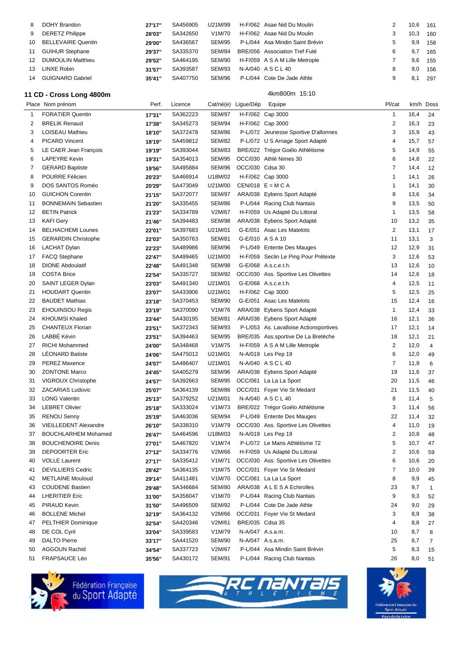| 8            | DOHY Brandon                                  | 27'17"           | SA456905             | U21M/99                 |                     | H-F/062 Asae Nid Du Moulin                            | 2                   | 10,6         | 161            |
|--------------|-----------------------------------------------|------------------|----------------------|-------------------------|---------------------|-------------------------------------------------------|---------------------|--------------|----------------|
| 9            | <b>DERETZ Philippe</b>                        | 28'03"           | SA342650             | V1M/70                  |                     | H-F/062 Asae Nid Du Moulin                            | 3                   | 10,3         | 160            |
| 10           | <b>BELLEVAIRE Quentin</b>                     | 29'00"           | SA436567             | <b>SEM/95</b>           |                     | P-L/044 Asa Mindin Saint Brévin                       | 5                   | 9,9          | 158            |
| 11           | <b>GUIHUR Stephane</b>                        | 29'37"           | SA335370             | <b>SEM/84</b>           |                     | BRE/056 Association Tref Futé                         | 6                   | 9,7          | 165            |
| 12           | <b>DUMOULIN Matthieu</b>                      | 29'52"           | SA464195             | <b>SEM/90</b>           |                     | H-F/059 A S A M Lille Metrople                        | 7                   | 9,6          | 155            |
| 13           | <b>LINXE Robin</b>                            | 31'57"           | SA393587             | <b>SEM/93</b>           |                     | N-A/040 ASCL40                                        | 8                   | 9,0          | 156            |
| 14           | <b>GUIGNARD Gabriel</b>                       | 35'41"           | SA407750             | <b>SEM/96</b>           |                     | P-L/044 Cote De Jade Athle                            | 9                   | 8,1          | 297            |
|              | 11 CD - Cross Long 4800m                      |                  |                      |                         |                     | 4km800m 15:10                                         |                     |              |                |
|              | Place Nom prénom                              | Perf.            | Licence              |                         | Cat/né(e) Ligue/Dép | Equipe                                                | Pl/cat              |              | km/h Doss      |
| $\mathbf{1}$ | <b>FORATIER Quentin</b>                       | 17'31"           | SA362223             | <b>SEM/97</b>           |                     | H-F/062 Cap 3000                                      | $\mathbf{1}$        | 16,4         | 24             |
| 2            | <b>BRELIK Renaud</b>                          | 17'38"           | SA345273             | <b>SEM/94</b>           |                     | H-F/062 Cap 3000                                      | $\overline{2}$      | 16,3         | 23             |
| 3            | LOISEAU Mathieu                               | 18'10"           | SA372478             | <b>SEM/86</b>           |                     | P-L/072 Jeunesse Sportive D'allonnes                  | 3                   | 15,9         | 43             |
| 4            | <b>PICARD Vincent</b>                         | 18'19"           | SA459812             | <b>SEM/82</b>           |                     | P-L/072 U S Arnage Sport Adapté                       | 4                   | 15,7         | 57             |
| 5            | LE CAER Jean François                         | 19'19"           | SA393044             | <b>SEM/83</b>           |                     | BRE/022 Trégor Goélo Athlétisme                       | 5                   | 14,9         | 55             |
| 6            | <b>LAPEYRE Kevin</b>                          | 19'31"           | SA354013             | <b>SEM/95</b>           |                     | OCC/030 Athlé Nimes 30                                | 6                   | 14,8         | 22             |
| 7            | <b>GERARD Baptiste</b>                        | 19'56"           | SA495884             | <b>SEM/96</b>           | OCC/030 Cdsa 30     |                                                       | $\overline{7}$      | 14,4         | 12             |
| 8            | POURRE Félicien                               | 20'23"           | SA466914             | U18M/02                 |                     | H-F/062 Cap 3000                                      | $\mathbf 1$         | 14,1         | 26             |
| 9            | DOS SANTOS Roméo                              | 20'29"           | SA473049             | U21M/00                 |                     | CEN/018 $E = M C A$                                   | $\mathbf 1$         | 14,1         | 30             |
| 10           | <b>GUICHON Corentin</b>                       | 21'15"           | SA372077             | <b>SEM/97</b>           |                     | ARA/038 Eybens Sport Adapté                           | 8                   | 13,6         | 34             |
| 11           | <b>BONNEMAIN Sebastien</b>                    | 21'20"           | SA335455             | <b>SEM/86</b>           |                     | P-L/044 Racing Club Nantais                           | 9                   | 13,5         | 50             |
| 12           | <b>BETIN Patrick</b>                          | 21'23"           | SA334789             | V2M/67                  |                     | H-F/059 Us Adapté Du Littoral                         | $\mathbf{1}$        | 13,5         | 58             |
| 13           | <b>KAFI Gery</b>                              | 21'46"           | SA394483             | <b>SEM/98</b>           |                     | ARA/038 Eybens Sport Adapté                           | 10                  | 13,2         | 35             |
| 14           | <b>BELHACHEMI Lounes</b>                      | 22'01"           | SA397683             | U21M/01                 |                     | G-E/051 Asac Les Matelots                             | $\overline{2}$      | 13,1         | 17             |
| 15           | <b>GERARDIN Christophe</b>                    | 22'03"           | SA350763             | <b>SEM/81</b>           |                     | G-E/010 A S A 10                                      | 11                  | 13,1         | 3              |
| 16           | <b>LACHAT Dylan</b>                           | 22'23"           | SA489986             | <b>SEM/96</b>           |                     | P-L/049 Entente Des Mauges                            | 12                  | 12,9         | 31             |
| 17           | <b>FACQ Stephane</b>                          | 22'47"           | SA499465             | U21M/00                 |                     | H-F/059 Seclin Le Ping Pour Prétexte                  | 3                   | 12,6         | 53             |
| 18           | <b>DIONE Abdoulatif</b>                       | 22'48"           | SA491348             | <b>SEM/98</b>           |                     | G-E/068 A.s.c.e.t.h.                                  | 13                  | 12,6         | 10             |
| 19           | <b>COSTA Brice</b>                            | 22'54"           | SA335727             | <b>SEM/92</b>           |                     | OCC/030 Ass. Sportive Les Olivettes                   | 14                  | 12,6         | 18             |
| 20           | SAINT LEGER Dylan                             | 23'03"           | SA491340             | U21M/01                 |                     | G-E/068 A.s.c.e.t.h.                                  | 4                   | 12,5         | 11             |
| 21           | <b>HOUDART Quentin</b>                        | 23'07"           | SA433906             | U21M/01                 |                     | H-F/062 Cap 3000                                      | 5                   | 12,5         | 25             |
| 22           | <b>BAUDET Mathias</b>                         | 23'18"           | SA370453             | <b>SEM/90</b>           |                     | G-E/051 Asac Les Matelots                             | 15                  | 12,4         | 16             |
| 23           | <b>EHOUINSOU Regis</b>                        | 23'19"           | SA370090             | V1M/76                  |                     | ARA/038 Eybens Sport Adapté                           | $\mathbf{1}$        | 12,4         | 33             |
| 24           | <b>KHOUMSI Khaled</b>                         | 23'44"           | SA430195             | <b>SEM/81</b>           |                     | ARA/038 Eybens Sport Adapté                           | 16                  | 12,1         | 36             |
| 25           | <b>CHANTEUX Florian</b>                       | 23'51"           | SA372343             | <b>SEM/93</b>           |                     | P-L/053 As. Lavalloise Actionsportives                | 17                  | 12,1         | 14             |
| 26           | LABBÉ Kévin                                   | 23'51"           | SA394463             | <b>SEM/95</b>           |                     | BRE/035 Ass.sportive De La Bretèche                   | 18                  | 12,1         | 21             |
| 27           | <b>RICHI Mohammed</b>                         | 24'00"           | SA348468             | V1M/75                  |                     | H-F/059 A S A M Lille Metrople                        | $\overline{2}$      | 12,0         | 4              |
| 28           | <b>LÉONARD Batiste</b>                        | 24'06"           | SA475012<br>SA486407 | U21M/01<br>U21M/01      |                     | N-A/019 Les Pep 19<br>N-A/040 ASCL40                  | 6<br>$\overline{7}$ | 12,0         | 49             |
| 29           | <b>PEREZ Maxence</b>                          | 24'07"           | SA405279             |                         |                     | SEM/96 ARA/038 Eybens Sport Adapté                    |                     | 11,9         | 6              |
| 30           | <b>ZONTONE Marco</b>                          | 24'45"           |                      |                         |                     |                                                       | 19                  | 11,6         | 37             |
| 31<br>32     | <b>VIGROUX Christophe</b><br>ZACARIAS Ludovic | 24'57"           | SA392663<br>SA364139 | SEM/95<br><b>SEM/86</b> |                     | OCC/081 La La La Sport<br>OCC/031 Foyer Vie St Medard | 20<br>21            | 11,5         | 46             |
| 33           | <b>LONG Valentin</b>                          | 25'07"           | SA379252             | U21M/01                 |                     | N-A/040 ASCL40                                        | 8                   | 11,5<br>11,4 | 40<br>5        |
| 34           | <b>LEBRET Olivier</b>                         | 25'13"<br>25'18" | SA333024             | V1M/73                  |                     | BRE/022 Trégor Goélo Athlétisme                       | 3                   | 11,4         | 56             |
| 35           | <b>RENOU Senny</b>                            | 25'19"           | SA463036             | SEM/94                  |                     | P-L/049 Entente Des Mauges                            | 22                  | 11,4         | 32             |
| 36           | <b>VIEILLEDENT Alexandre</b>                  | 26'10"           | SA338310             | V1M/79                  |                     | OCC/030 Ass. Sportive Les Olivettes                   | 4                   | 11,0         | 19             |
| 37           | <b>BOUCHLARHEM Mohamed</b>                    | 26'47"           | SA464596             | U18M/03                 |                     | N-A/019 Les Pep 19                                    | 2                   | 10,8         | 48             |
| 38           | <b>BOUCHENOIRE Denis</b>                      | 27'01"           | SA467820             | V1M/74                  |                     | P-L/072 Le Mans Athlétisme 72                         | 5                   | 10,7         | 47             |
| 39           | <b>DEPOORTER Eric</b>                         | 27'12"           | SA334776             | V2M/66                  |                     | H-F/059 Us Adapté Du Littoral                         | 2                   | 10,6         | 59             |
| 40           | <b>VOLLE Laurent</b>                          | 27'17"           | SA335412             | V1M/71                  |                     | OCC/030 Ass. Sportive Les Olivettes                   | 6                   | 10,6         | 20             |
| 41           | <b>DEVILLIERS Cedric</b>                      | 28'42"           | SA364135             | V1M/75                  |                     | OCC/031 Foyer Vie St Medard                           | $\overline{7}$      | 10,0         | 39             |
| 42           | <b>METLAINE Mouloud</b>                       | 29'14"           | SA411481             | V1M/70                  |                     | OCC/081 La La La Sport                                | 8                   | 9,9          | 45             |
| 43           | <b>COUDENE Bastien</b>                        | 29'48"           | SA346684             | <b>SEM/80</b>           |                     | ARA/038 A L E S A Echirolles                          | 23                  | 9,7          | $\mathbf{1}$   |
| 44           | <b>LHERITIER Eric</b>                         | 31'00"           | SA356047             | V1M/70                  |                     | P-L/044 Racing Club Nantais                           | 9                   | 9,3          | 52             |
| 45           | PIRAUD Kevin                                  | 31'50"           | SA496509             | <b>SEM/92</b>           |                     | P-L/044 Cote De Jade Athle                            | 24                  | 9,0          | 29             |
| 46           | <b>BOLLENE Michel</b>                         | 32'19"           | SA364132             | V2M/66                  |                     | OCC/031 Foyer Vie St Medard                           | 3                   | 8,9          | 38             |
| 47           | <b>PELTHIER Dominique</b>                     | 32'54"           | SA420346             | V2M/61                  | BRE/035 Cdsa 35     |                                                       | 4                   | 8,8          | 27             |
| 48           | DE COL Cyril                                  | 33'04"           | SA339583             | V1M/79                  | N-A/047 A.s.a.m.    |                                                       | 10                  | 8,7          | 8              |
| 49           | <b>DALTO Pierre</b>                           | 33'17"           | SA441520             | <b>SEM/90</b>           | N-A/047 A.s.a.m.    |                                                       | 25                  | 8,7          | $\overline{7}$ |
| 50           | <b>AGGOUN Rachid</b>                          | 34'54"           | SA337723             | V2M/67                  |                     | P-L/044 Asa Mindin Saint Brévin                       | 5                   | 8,3          | 15             |
| 51           | FRAPSAUCE Léo                                 | 35'56"           | SA430172             | <b>SEM/91</b>           |                     | P-L/044 Racing Club Nantais                           | 26                  | 8,0          | 51             |
|              |                                               |                  |                      |                         |                     |                                                       |                     |              |                |





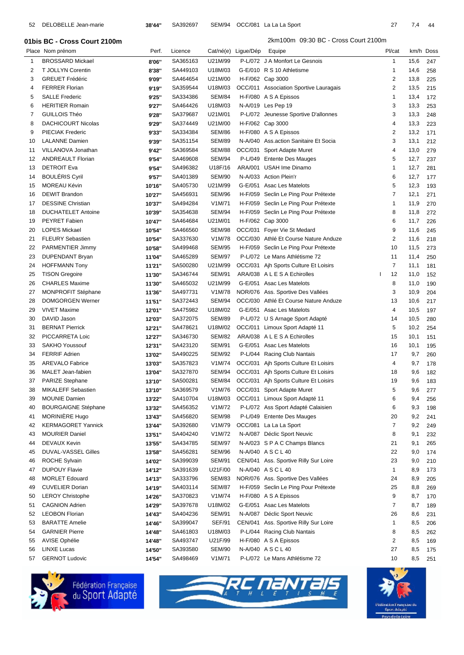| 52             | DELOBELLE Jean-marie         | 38'44" | SA392697 | SEM/94        |                     | OCC/081 La La La Sport                 | 27             | 7,4  | 44        |
|----------------|------------------------------|--------|----------|---------------|---------------------|----------------------------------------|----------------|------|-----------|
|                | 01bis BC - Cross Court 2100m |        |          |               |                     | 2km100m 09:30 BC - Cross Court 2100m   |                |      |           |
|                | Place Nom prénom             | Perf.  | Licence  |               | Cat/né(e) Ligue/Dép | Equipe                                 | Pl/cat         |      | km/h Doss |
| 1              | <b>BROSSARD Mickael</b>      | 8'06"  | SA365163 | U21M/99       |                     | P-L/072 J A Monfort Le Gesnois         | $\mathbf{1}$   | 15,6 | 247       |
| $\overline{2}$ | T JOLLYN Corentin            | 8'38"  | SA449103 | U18M/03       |                     | G-E/010 R S 10 Athletisme              | $\overline{1}$ | 14,6 | 258       |
| 3              | <b>GREUET Frédéric</b>       | 9'09"  | SA464654 | U21M/00       |                     | H-F/062 Cap 3000                       | 2              | 13,8 | 225       |
| 4              | <b>FERRER Florian</b>        | 9'19"  | SA359544 | U18M/03       |                     | OCC/011 Association Sportive Lauragais | 2              | 13,5 | 215       |
| 5              | <b>SALLE Frederic</b>        | 9'25"  | SA334386 | <b>SEM/84</b> |                     | H-F/080 A S A Epissos                  | $\mathbf{1}$   | 13,4 | 172       |
| 6              | <b>HERITIER Romain</b>       | 9'27"  | SA464426 | U18M/03       |                     | N-A/019 Les Pep 19                     | 3              | 13,3 | 253       |
| 7              | <b>GUILLOIS Théo</b>         | 9'28"  | SA379687 | U21M/01       |                     | P-L/072 Jeunesse Sportive D'allonnes   | 3              | 13,3 | 248       |
| 8              | <b>DACHICOURT Nicolas</b>    | 9'29"  | SA374449 | U21M/00       |                     | H-F/062 Cap 3000                       | 4              | 13,3 | 223       |
| 9              | <b>PIECIAK Frederic</b>      | 9'33"  | SA334384 | <b>SEM/86</b> |                     | H-F/080 A S A Epissos                  | $\overline{2}$ | 13,2 | 171       |
| 10             | <b>LALANNE Damien</b>        | 9'39"  | SA351154 | <b>SEM/89</b> |                     | N-A/040 Ass.action Sanitaire Et Socia  | 3              | 13,1 | 212       |
| 11             | VILLANOVA Jonathan           | 9'42"  | SA369584 | <b>SEM/88</b> |                     | OCC/031 Sport Adapte Muret             | 4              | 13,0 | 279       |
| 12             | <b>ANDREAULT Florian</b>     | 9'54"  | SA469608 | <b>SEM/94</b> |                     | P-L/049 Entente Des Mauges             | 5              | 12,7 | 237       |
| 13             | <b>DETROIT Eva</b>           | 9'54"  | SA496382 | U18F/16       |                     | ARA/001 USAH Ime Dinamo                | -1             | 12,7 | 281       |
| 14             | <b>BOULÉRIS Cyril</b>        | 9'57"  | SA401389 | <b>SEM/90</b> |                     | N-A/033 Action Plein'r                 | 6              | 12,7 | 177       |
| 15             | MOREAU Kévin                 | 10'16" | SA405730 | U21M/99       |                     | G-E/051 Asac Les Matelots              | 5              | 12,3 | 193       |
| 16             | <b>DEWIT Brandon</b>         | 10'27" | SA456931 | <b>SEM/96</b> |                     | H-F/059 Seclin Le Ping Pour Prétexte   | $\overline{7}$ | 12,1 | 271       |
| 17             | <b>DESSINE Christian</b>     | 10'37" | SA494284 | V1M/71        |                     | H-F/059 Seclin Le Ping Pour Prétexte   | $\mathbf{1}$   | 11,9 | 270       |
| 18             | <b>DUCHATELET Antoine</b>    | 10'39" | SA354638 | <b>SEM/94</b> |                     | H-F/059 Seclin Le Ping Pour Prétexte   | 8              | 11,8 | 272       |
| 19             | <b>PEYRET Fabien</b>         | 10'47" | SA464684 | U21M/01       |                     | H-F/062 Cap 3000                       | 6              | 11,7 | 226       |
| 20             | <b>LOPES Mickael</b>         | 10'54" | SA466560 | <b>SEM/98</b> |                     | OCC/031 Foyer Vie St Medard            | 9              | 11,6 | 245       |
| 21             | <b>FLEURY Sebastien</b>      | 10'54" | SA337630 | V1M/78        |                     | OCC/030 Athlé Et Course Nature Anduze  | 2              | 11,6 | 218       |
| 22             | PARMENTIER Jimmy             | 10'58" | SA499468 | <b>SEM/95</b> |                     | H-F/059 Seclin Le Ping Pour Prétexte   | 10             | 11,5 | 273       |
| 23             | <b>DUPENDANT Bryan</b>       | 11'04" | SA465289 | <b>SEM/97</b> |                     | P-L/072 Le Mans Athlétisme 72          | 11             | 11,4 | 250       |
| 24             | <b>HOFFMANN Tony</b>         | 11'21" | SA500280 | U21M/99       |                     | OCC/031 Aih Sports Culture Et Loisirs  | $\overline{7}$ | 11,1 | 181       |
| 25             | <b>TISON Gregoire</b>        | 11'30" | SA346744 | <b>SEM/91</b> |                     | ARA/038 A L E S A Echirolles           | 12             | 11,0 | 152       |
| 26             | <b>CHARLES Maxime</b>        | 11'30" | SA465032 | U21M/99       |                     | G-E/051 Asac Les Matelots              | 8              | 11,0 | 190       |
| 27             | MONPROFIT Stéphane           | 11'36" | SA497731 | V1M/78        |                     | NOR/076 Ass. Sportive Des Vallées      | 3              | 10,9 | 204       |
| 28             | <b>DOMGORGEN Werner</b>      | 11'51" | SA372443 | <b>SEM/94</b> |                     | OCC/030 Athlé Et Course Nature Anduze  | 13             | 10,6 | 217       |
| 29             | <b>VIVET Maxime</b>          | 12'01" | SA475982 | U18M/02       |                     | G-E/051 Asac Les Matelots              | 4              | 10,5 | 197       |
| 30             | DAVID Jason                  | 12'03" | SA372075 | <b>SEM/89</b> |                     | P-L/072 U S Arnage Sport Adapté        | 14             | 10,5 | 280       |
| 31             | <b>BERNAT Pierrick</b>       | 12'21" | SA478621 | U18M/02       |                     | OCC/011 Limoux Sport Adapté 11         | 5              | 10,2 | 254       |
| 32             | PICCARRETA Loic              | 12'27" | SA346730 |               |                     | SEM/82 ARA/038 ALESA Echirolles        | 15             | 101  | 151       |







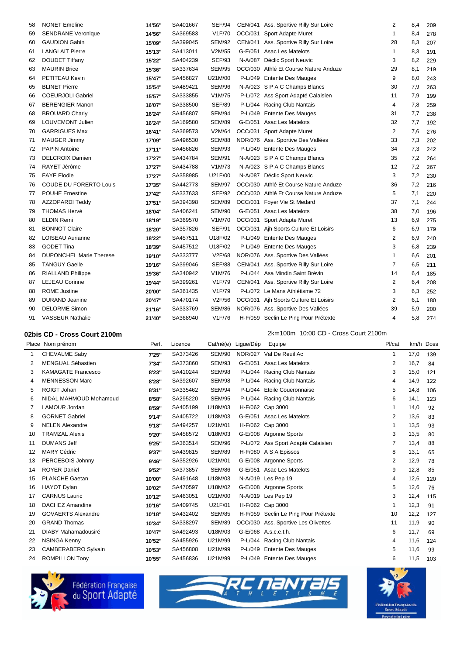| 58 | <b>NONET Emeline</b>           | 14'56" | SA401667 | <b>SEF/94</b> |         | CEN/041 Ass. Sportive Rilly Sur Loire | 2              | 8,4 | 209 |
|----|--------------------------------|--------|----------|---------------|---------|---------------------------------------|----------------|-----|-----|
| 59 | <b>SENDRANE Veronique</b>      | 14'56" | SA369583 | V1F/70        | OCC/031 | Sport Adapte Muret                    | 1              | 8,4 | 278 |
| 60 | <b>GAUDION Gabin</b>           | 15'09" | SA399045 | <b>SEM/92</b> | CEN/041 | Ass. Sportive Rilly Sur Loire         | 28             | 8,3 | 207 |
| 61 | <b>LANGLAIT Pierre</b>         | 15'13" | SA413011 | V2M/55        | G-E/051 | <b>Asac Les Matelots</b>              | $\mathbf{1}$   | 8,3 | 191 |
| 62 | <b>DOUDET Tiffany</b>          | 15'22" | SA404239 | <b>SEF/93</b> | N-A/087 | Déclic Sport Neuvic                   | 3              | 8,2 | 229 |
| 63 | <b>MAURIN Brice</b>            | 15'36" | SA337634 | <b>SEM/95</b> |         | OCC/030 Athlé Et Course Nature Anduze | 29             | 8,1 | 219 |
| 64 | PETITEAU Kevin                 | 15'47" | SA456827 | U21M/00       |         | P-L/049 Entente Des Mauges            | 9              | 8,0 | 243 |
| 65 | <b>BLINET Pierre</b>           | 15'54" | SA489421 | <b>SEM/96</b> |         | N-A/023 S P A C Champs Blancs         | 30             | 7,9 | 263 |
| 66 | <b>COEURJOLI Gabriel</b>       | 15'57" | SA333855 | V1M/75        |         | P-L/072 Ass Sport Adapté Calaisien    | 11             | 7,9 | 199 |
| 67 | <b>BERENGIER Manon</b>         | 16'07" | SA338500 | <b>SEF/89</b> |         | P-L/044 Racing Club Nantais           | $\overline{4}$ | 7,8 | 259 |
| 68 | <b>BROUARD Charly</b>          | 16'24" | SA456807 | <b>SEM/94</b> |         | P-L/049 Entente Des Mauges            | 31             | 7,7 | 238 |
| 69 | LOUVEMONT Julien               | 16'24" | SA169580 | <b>SEM/89</b> | G-E/051 | <b>Asac Les Matelots</b>              | 32             | 7,7 | 192 |
| 70 | <b>GARRIGUES Max</b>           | 16'41" | SA369573 | V2M/64        | OCC/031 | Sport Adapte Muret                    | $\overline{2}$ | 7,6 | 276 |
| 71 | <b>MAUGER Jimmy</b>            | 17'09" | SA496530 | <b>SEM/88</b> |         | NOR/076 Ass. Sportive Des Vallées     | 33             | 7,3 | 202 |
| 72 | <b>PAPIN Antoine</b>           | 17'11" | SA456826 | <b>SEM/93</b> |         | P-L/049 Entente Des Mauges            | 34             | 7,3 | 242 |
| 73 | <b>DELCROIX Damien</b>         | 17'27" | SA434784 | <b>SEM/91</b> |         | N-A/023 SPAC Champs Blancs            | 35             | 7,2 | 264 |
| 74 | RAYET Jérôme                   | 17'27" | SA434788 | V1M/73        |         | N-A/023 S P A C Champs Blancs         | 12             | 7,2 | 267 |
| 75 | <b>FAYE Elodie</b>             | 17'27" | SA358985 | U21F/00       |         | N-A/087 Déclic Sport Neuvic           | 3              | 7,2 | 230 |
| 76 | <b>COUDE DU FORERTO Louis</b>  | 17'35" | SA442773 | <b>SEM/97</b> |         | OCC/030 Athlé Et Course Nature Anduze | 36             | 7,2 | 216 |
| 77 | <b>POUHE Ernestine</b>         | 17'42" | SA337633 | <b>SEF/92</b> |         | OCC/030 Athlé Et Course Nature Anduze | 5              | 7,1 | 220 |
| 78 | <b>AZZOPARDI Teddy</b>         | 17'51" | SA394398 | <b>SEM/89</b> | OCC/031 | Foyer Vie St Medard                   | 37             | 7,1 | 244 |
| 79 | <b>THOMAS Hervé</b>            | 18'04" | SA406241 | <b>SEM/90</b> | G-E/051 | Asac Les Matelots                     | 38             | 7,0 | 196 |
| 80 | <b>ELDIN Remi</b>              | 18'19" | SA369570 | V1M/70        | OCC/031 | Sport Adapte Muret                    | 13             | 6,9 | 275 |
| 81 | <b>BONNOT Claire</b>           | 18'20" | SA357826 | <b>SEF/91</b> | OCC/031 | Aih Sports Culture Et Loisirs         | 6              | 6,9 | 179 |
| 82 | LOISEAU Aurianne               | 18'22" | SA457511 | U18F/02       | P-L/049 | <b>Entente Des Mauges</b>             | $\overline{2}$ | 6,9 | 240 |
| 83 | <b>GODET Tina</b>              | 18'39" | SA457512 | U18F/02       |         | P-L/049 Entente Des Mauges            | 3              | 6,8 | 239 |
| 84 | <b>DUPONCHEL Marie Therese</b> | 19'10" | SA333777 | V2F/68        |         | NOR/076 Ass. Sportive Des Vallées     | 1              | 6,6 | 201 |
| 85 | <b>TANGUY Gaelle</b>           | 19'16" | SA399046 | <b>SEF/88</b> |         | CEN/041 Ass. Sportive Rilly Sur Loire | $\overline{7}$ | 6,5 | 211 |
| 86 | <b>RIALLAND Philippe</b>       | 19'36" | SA340942 | V1M/76        |         | P-L/044 Asa Mindin Saint Brévin       | 14             | 6,4 | 185 |
| 87 | <b>LEJEAU Corinne</b>          | 19'44" | SA399261 | V1F/79        | CEN/041 | Ass. Sportive Rilly Sur Loire         | 2              | 6,4 | 208 |
| 88 | <b>ROME Justine</b>            | 20'00" | SA361435 | V1F/79        |         | P-L/072 Le Mans Athlétisme 72         | 3              | 6,3 | 252 |
| 89 | <b>DURAND Jeanine</b>          | 20'47" | SA470174 | V2F/56        |         | OCC/031 Ajh Sports Culture Et Loisirs | 2              | 6,1 | 180 |
| 90 | <b>DELORME Simon</b>           | 21'16" | SA333769 | <b>SEM/86</b> |         | NOR/076 Ass. Sportive Des Vallées     | 39             | 5,9 | 200 |
| 91 | <b>VASSEUR Nathalie</b>        | 21'40" | SA368940 | V1F/76        |         | H-F/059 Seclin Le Ping Pour Prétexte  | $\overline{4}$ | 5,8 | 274 |

**02bis CD - Cross Court 2100m** 2km100m 10:00 CD - Cross Court 2100m

|                | Place Nom prénom          | Perf.  | Licence  |               | Cat/né(e) Ligue/Dép | Equipe                               | Pl/cat         |      | km/h Doss |
|----------------|---------------------------|--------|----------|---------------|---------------------|--------------------------------------|----------------|------|-----------|
|                | CHEVALME Saby             | 7'25"  | SA373426 | <b>SEM/90</b> | <b>NOR/027</b>      | Val De Reuil Ac                      | $\mathbf 1$    | 17,0 | 139       |
| 2              | <b>MENGUAL Sébastien</b>  | 7'34"  | SA373860 | <b>SEM/93</b> | G-E/051             | <b>Asac Les Matelots</b>             | $\overline{2}$ | 16,7 | 84        |
| 3              | <b>KAMAGATE Francesco</b> | 8'23"  | SA410244 | <b>SEM/98</b> | $P-L/044$           | Racing Club Nantais                  | 3              | 15,0 | 121       |
| 4              | <b>MENNESSON Marc</b>     | 8'28"  | SA392607 | SEM/98        | P-L/044             | Racing Club Nantais                  | $\overline{4}$ | 14,9 | 122       |
| 5              | ROIGT Johan               | 8'31"  | SA335462 | SEM/94        | $P-L/044$           | Etoile Coueronnaise                  | 5              | 14,8 | 106       |
| 6              | NIDAL MAHMOUD Mohamoud    | 8'58"  | SA295220 | <b>SEM/95</b> |                     | P-L/044 Racing Club Nantais          | 6              | 14,1 | 123       |
| $\overline{7}$ | LAMOUR Jordan             | 8'59"  | SA405199 | U18M/03       |                     | H-F/062 Cap 3000                     |                | 14,0 | 92        |
| 8              | <b>GORNET Gabriel</b>     | 9'14"  | SA405722 | U18M/03       |                     | G-E/051 Asac Les Matelots            | 2              | 13,6 | 83        |
| 9              | <b>NELEN Alexandre</b>    | 9'18"  | SA494257 | U21M/01       |                     | H-F/062 Cap 3000                     |                | 13,5 | 93        |
| 10             | <b>TRAMZAL Alexis</b>     | 9'20"  | SA458572 | U18M/03       |                     | G-E/008 Argonne Sports               | 3              | 13,5 | 80        |
| 11             | <b>DUMANS Jeff</b>        | 9'25"  | SA363514 | <b>SEM/96</b> |                     | P-L/072 Ass Sport Adapté Calaisien   | 7              | 13,4 | 88        |
| 12             | <b>MARY Cédric</b>        | 9'37"  | SA439815 | <b>SEM/89</b> |                     | H-F/080 A S A Epissos                | 8              | 13,1 | 65        |
| 13             | PERCEBOIS Johnny          | 9'46"  | SA352926 | U21M/01       |                     | G-E/008 Argonne Sports               | 2              | 12,9 | 78        |
| 14             | <b>ROYER Daniel</b>       | 9'52"  | SA373857 | <b>SEM/86</b> |                     | G-E/051 Asac Les Matelots            | 9              | 12,8 | 85        |
| 15             | <b>PLANCHE Gaetan</b>     | 10'00" | SA491648 | U18M/03       |                     | N-A/019 Les Pep 19                   | 4              | 12,6 | 120       |
| 16             | <b>HAYOT Dylan</b>        | 10'02" | SA470597 | U18M/02       |                     | G-E/008 Argonne Sports               | 5              | 12,6 | 76        |
| 17             | <b>CARNUS Lauric</b>      | 10'12" | SA463051 | U21M/00       |                     | N-A/019 Les Pep 19                   | 3              | 12,4 | 115       |
| 18             | <b>DACHEZ Amandine</b>    | 10'16" | SA409745 | U21F/01       |                     | H-F/062 Cap 3000                     | -1             | 12,3 | 91        |
| 19             | <b>GOVAERTS Alexandre</b> | 10'18" | SA432402 | <b>SEM/85</b> |                     | H-F/059 Seclin Le Ping Pour Prétexte | 10             | 12,2 | 127       |
| 20             | <b>GRAND Thomas</b>       | 10'34" | SA338297 | <b>SEM/89</b> |                     | OCC/030 Ass. Sportive Les Olivettes  | 11             | 11,9 | 90        |
| 21             | DIABY Mahamadousiré       | 10'47" | SA492493 | U18M/03       |                     | G-E/068 A.s.c.e.t.h.                 | 6              | 11.7 | 69        |
| 22             | <b>NSINGA Kenny</b>       | 10'52" | SA455926 | U21M/99       |                     | P-L/044 Racing Club Nantais          | 4              | 11,6 | 124       |
| 23             | CAMBERABERO Sylvain       | 10'53" | SA456808 | U21M/99       |                     | P-L/049 Entente Des Mauges           | 5              | 11,6 | 99        |
| 24             | <b>ROMPILLON Tony</b>     | 10'55" | SA456836 | U21M/99       |                     | P-L/049 Entente Des Mauges           | 6              | 11,5 | 103       |





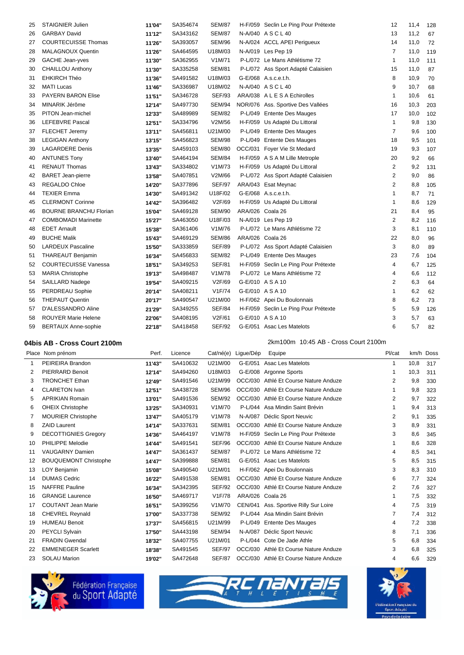| 25 | <b>STAIGNIER Julien</b>       | 11'04" | SA354674 | <b>SEM/87</b> |                  | H-F/059 Seclin Le Ping Pour Prétexte | 12             | 11,4 | 128 |
|----|-------------------------------|--------|----------|---------------|------------------|--------------------------------------|----------------|------|-----|
| 26 | <b>GARBAY David</b>           | 11'12" | SA343162 | <b>SEM/87</b> |                  | N-A/040 ASCL40                       | 13             | 11,2 | 67  |
| 27 | <b>COURTECUISSE Thomas</b>    | 11'26" | SA393057 | <b>SEM/96</b> |                  | N-A/024 ACCL APEI Perigueux          | 14             | 11,0 | 72  |
| 28 | <b>MALAGNOUX Quentin</b>      | 11'26" | SA464595 | U18M/03       |                  | N-A/019 Les Pep 19                   | 7              | 11,0 | 119 |
| 29 | <b>GACHE Jean-yves</b>        | 11'30" | SA362955 | V1M/71        |                  | P-L/072 Le Mans Athlétisme 72        | 1              | 11,0 | 111 |
| 30 | <b>CHAILLOU Anthony</b>       | 11'30" | SA335258 | <b>SEM/81</b> |                  | P-L/072 Ass Sport Adapté Calaisien   | 15             | 11,0 | 87  |
| 31 | <b>EHKIRCH Théo</b>           | 11'36" | SA491582 | U18M/03       |                  | G-E/068 A.s.c.e.t.h.                 | 8              | 10,9 | 70  |
| 32 | <b>MATI Lucas</b>             | 11'46" | SA336987 | U18M/02       |                  | N-A/040 ASCL40                       | 9              | 10,7 | 68  |
| 33 | <b>PAYERN BARON Elise</b>     | 11'51" | SA346728 | <b>SEF/93</b> |                  | ARA/038 A L E S A Echirolles         | $\mathbf{1}$   | 10,6 | 61  |
| 34 | MINARIK Jérôme                | 12'14" | SA497730 | <b>SEM/94</b> |                  | NOR/076 Ass. Sportive Des Vallées    | 16             | 10,3 | 203 |
| 35 | PITON Jean-michel             | 12'33" | SA489989 | <b>SEM/82</b> |                  | P-L/049 Entente Des Mauges           | 17             | 10,0 | 102 |
| 36 | LEFEBVRE Pascal               | 12'51" | SA334796 | V2M/56        |                  | H-F/059 Us Adapté Du Littoral        | $\mathbf{1}$   | 9,8  | 130 |
| 37 | <b>FLECHET Jeremy</b>         | 13'11" | SA456811 | U21M/00       |                  | P-L/049 Entente Des Mauges           | $\overline{7}$ | 9,6  | 100 |
| 38 | <b>LEGIGAN Anthony</b>        | 13'15" | SA456823 | <b>SEM/98</b> |                  | P-L/049 Entente Des Mauges           | 18             | 9,5  | 101 |
| 39 | <b>LAGARDERE Denis</b>        | 13'35" | SA459103 | <b>SEM/80</b> |                  | OCC/031 Foyer Vie St Medard          | 19             | 9,3  | 107 |
| 40 | <b>ANTUNES Tony</b>           | 13'40" | SA464194 | <b>SEM/84</b> |                  | H-F/059 A S A M Lille Metrople       | 20             | 9,2  | 66  |
| 41 | <b>RENAUT Thomas</b>          | 13'43" | SA334802 | V1M/73        |                  | H-F/059 Us Adapté Du Littoral        | 2              | 9,2  | 131 |
| 42 | <b>BARET Jean-pierre</b>      | 13'58" | SA407851 | V2M/66        |                  | P-L/072 Ass Sport Adapté Calaisien   | 2              | 9,0  | 86  |
| 43 | <b>REGALDO Chloe</b>          | 14'20" | SA377896 | <b>SEF/97</b> |                  | ARA/043 Esat Meynac                  | 2              | 8,8  | 105 |
| 44 | <b>TEXIER Emma</b>            | 14'30" | SA491342 | U18F/02       |                  | G-E/068 A.s.c.e.t.h.                 | $\mathbf{1}$   | 8,7  | 71  |
| 45 | <b>CLERMONT Corinne</b>       | 14'42" | SA396482 | V2F/69        |                  | H-F/059 Us Adapté Du Littoral        | $\mathbf{1}$   | 8,6  | 129 |
| 46 | <b>BOURNE BRANCHU Florian</b> | 15'04" | SA469128 | <b>SEM/90</b> | ARA/026 Coala 26 |                                      | 21             | 8,4  | 95  |
| 47 | <b>COMBOMADI Marinette</b>    | 15'27" | SA463050 | U18F/03       |                  | N-A/019 Les Pep 19                   | $\mathbf{2}$   | 8,2  | 116 |
| 48 | <b>EDET Arnault</b>           | 15'38" | SA361406 | V1M/76        |                  | P-L/072 Le Mans Athlétisme 72        | 3              | 8,1  | 110 |
| 49 | <b>BUCHE Malik</b>            | 15'43" | SA469129 | <b>SEM/86</b> | ARA/026 Coala 26 |                                      | 22             | 8,0  | 96  |
| 50 | <b>LARDEUX Pascaline</b>      | 15'50" | SA333859 | <b>SEF/89</b> |                  | P-L/072 Ass Sport Adapté Calaisien   | 3              | 8,0  | 89  |
| 51 | <b>THAREAUT Benjamin</b>      | 16'34" | SA456833 | <b>SEM/82</b> |                  | P-L/049 Entente Des Mauges           | 23             | 7,6  | 104 |
| 52 | <b>COURTECUISSE Vanessa</b>   | 18'51" | SA349253 | <b>SEF/81</b> |                  | H-F/059 Seclin Le Ping Pour Prétexte | $\overline{4}$ | 6,7  | 125 |
| 53 | <b>MARIA Christophe</b>       | 19'13" | SA498487 | V1M/78        |                  | P-L/072 Le Mans Athlétisme 72        | $\overline{4}$ | 6,6  | 112 |
| 54 | SAILLARD Nadege               | 19'54" | SA409215 | V2F/69        |                  | G-E/010 A S A 10                     | $\overline{2}$ | 6,3  | 64  |
| 55 | PERDREAU Sophie               | 20'14" | SA408211 | V1F/74        | G-E/010 A S A 10 |                                      | $\mathbf{1}$   | 6,2  | 62  |
| 56 | <b>THEPAUT Quentin</b>        | 20'17" | SA490547 | U21M/00       |                  | H-F/062 Apei Du Boulonnais           | 8              | 6,2  | 73  |
| 57 | D'ALESSANDRO Aline            | 21'29" | SA349255 | <b>SEF/84</b> |                  | H-F/059 Seclin Le Ping Pour Prétexte | 5              | 5,9  | 126 |
| 58 | <b>ROUYER Marie Helene</b>    | 22'06" | SA408195 | V2F/61        | G-E/010 A S A 10 |                                      | 3              | 5,7  | 63  |
| 59 | <b>BERTAUX Anne-sophie</b>    | 22'18" | SA418458 | <b>SEF/92</b> |                  | G-E/051 Asac Les Matelots            | 6              | 5,7  | 82  |
|    |                               |        |          |               |                  |                                      |                |      |     |

**04bis AB - Cross Court 2100m** 2km100m 10:45 AB - Cross Court 2100m

|    | Place Nom prénom             | Perf.  | Licence  |               | Cat/né(e) Ligue/Dép | Equipe                                | Pl/cat         |      | km/h Doss |
|----|------------------------------|--------|----------|---------------|---------------------|---------------------------------------|----------------|------|-----------|
| 1  | PEIREIRA Brandon             | 11'43" | SA410632 | U21M/00       | G-E/051             | Asac Les Matelots                     | 1              | 10,8 | 317       |
| 2  | PIERRARD Benoit              | 12'14" | SA494260 | U18M/03       |                     | G-E/008 Argonne Sports                |                | 10,3 | 311       |
| 3  | <b>TRONCHET Ethan</b>        | 12'49" | SA491546 | U21M/99       |                     | OCC/030 Athlé Et Course Nature Anduze | $\overline{2}$ | 9,8  | 330       |
| 4  | <b>CLARETON Ivan</b>         | 12'51" | SA438728 | <b>SEM/96</b> |                     | OCC/030 Athlé Et Course Nature Anduze | 1              | 9,8  | 323       |
| 5  | <b>APRIKIAN Romain</b>       | 13'01" | SA491536 | <b>SEM/92</b> |                     | OCC/030 Athlé Et Course Nature Anduze | $\overline{2}$ | 9,7  | 322       |
| 6  | <b>OHEIX Christophe</b>      | 13'25" | SA340931 | V1M/70        | $P-L/044$           | Asa Mindin Saint Brévin               |                | 9,4  | 313       |
| 7  | <b>MOURIER Christophe</b>    | 13'47" | SA405179 | V1M/78        | N-A/087             | Déclic Sport Neuvic                   | 2              | 9,1  | 335       |
| 8  | <b>ZAID Laurent</b>          | 14'14" | SA337631 | <b>SEM/81</b> | OCC/030             | Athlé Et Course Nature Anduze         | 3              | 8,9  | 331       |
| 9  | <b>DECOTTIGNIES Gregory</b>  | 14'36" | SA464197 | V1M/78        | H-F/059             | Seclin Le Ping Pour Prétexte          | 3              | 8,6  | 345       |
| 10 | PHILIPPE Melodie             | 14'44" | SA491541 | <b>SEF/96</b> | OCC/030             | Athlé Et Course Nature Anduze         | 1              | 8,6  | 328       |
| 11 | <b>VAUGARNY Damien</b>       | 14'47" | SA361437 | <b>SEM/87</b> | P-L/072             | Le Mans Athlétisme 72                 | 4              | 8,5  | 341       |
| 12 | <b>BOUQUEMONT Christophe</b> | 14'47" | SA399888 | <b>SEM/81</b> |                     | G-E/051 Asac Les Matelots             | 5              | 8,5  | 315       |
| 13 | LOY Benjamin                 | 15'08" | SA490540 | U21M/01       |                     | H-F/062 Apei Du Boulonnais            | 3              | 8,3  | 310       |
| 14 | <b>DUMAS Cedric</b>          | 16'22" | SA491538 | <b>SEM/81</b> |                     | OCC/030 Athlé Et Course Nature Anduze | 6              | 7,7  | 324       |
| 15 | <b>NAFFRE Pauline</b>        | 16'34" | SA342395 | <b>SEF/92</b> |                     | OCC/030 Athlé Et Course Nature Anduze | $\overline{2}$ | 7,6  | 327       |
| 16 | <b>GRANGE Laurence</b>       | 16'50" | SA469717 | V1F/78        | ARA/026 Coala 26    |                                       |                | 7,5  | 332       |
| 17 | <b>COUTANT Jean Marie</b>    | 16'51" | SA399256 | V1M/70        |                     | CEN/041 Ass. Sportive Rilly Sur Loire | 4              | 7,5  | 319       |
| 18 | <b>CHEVREL Reynald</b>       | 17'00" | SA337738 | <b>SEM/92</b> |                     | P-L/044 Asa Mindin Saint Brévin       | 7              | 7,4  | 312       |
| 19 | <b>HUMEAU Benoit</b>         | 17'37" | SA456815 | U21M/99       | P-L/049             | <b>Entente Des Mauges</b>             | 4              | 7,2  | 338       |
| 20 | <b>PEYCLI Sylvain</b>        | 17'50" | SA443198 | SEM/94        | N-A/087             | Déclic Sport Neuvic                   | 8              | 7,1  | 336       |
| 21 | <b>FRADIN Gwendal</b>        | 18'32" | SA407755 | U21M/01       |                     | P-L/044 Cote De Jade Athle            | 5              | 6,8  | 334       |
| 22 | <b>EMMENEGER Scarlett</b>    | 18'38" | SA491545 | <b>SEF/97</b> |                     | OCC/030 Athlé Et Course Nature Anduze | 3              | 6,8  | 325       |
| 23 | <b>SOLAU Marion</b>          | 19'02" | SA472648 | <b>SEF/87</b> |                     | OCC/030 Athlé Et Course Nature Anduze | 4              | 6,6  | 329       |





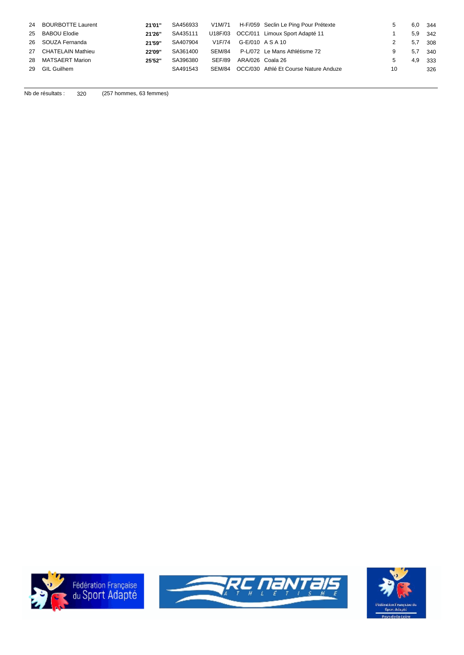|    | 24 BOURBOTTE Laurent | 21'01" | SA456933 |        |                  | V1M/71 H-F/059 Seclin Le Ping Pour Prétexte |    | 6,0 | 344 |
|----|----------------------|--------|----------|--------|------------------|---------------------------------------------|----|-----|-----|
|    | 25 BABOU Elodie      | 21'26" | SA435111 |        |                  | U18F/03 OCC/011 Limoux Sport Adapté 11      |    | 5,9 | 342 |
|    | 26 SOUZA Fernanda    | 21'59" | SA407904 | V1F/74 | G-E/010 A S A 10 |                                             |    | 5.7 | 308 |
|    | 27 CHATELAIN Mathieu | 22'09" | SA361400 | SEM/84 |                  | P-L/072 Le Mans Athlétisme 72               | 9  | 5,7 | 340 |
|    | 28 MATSAERT Marion   | 25'52" | SA396380 | SEF/89 | ARA/026 Coala 26 |                                             |    | 4,9 | 333 |
| 29 | <b>GIL Guilhem</b>   |        | SA491543 | SEM/84 |                  | OCC/030 Athlé Et Course Nature Anduze       | 10 |     | 326 |
|    |                      |        |          |        |                  |                                             |    |     |     |

Nb de résultats : 320 (257 hommes, 63 femmes)





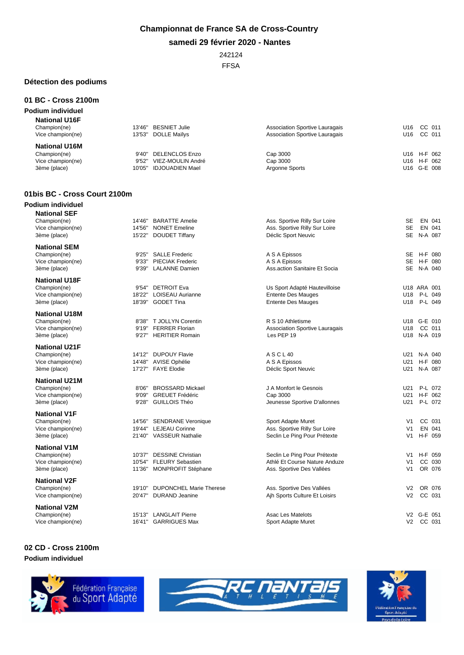### **Championnat de France SA de Cross-Country**

**samedi 29 février 2020 - Nantes**

# 242124

FFSA

### **Détection des podiums**

**01 BC - Cross 2100m**

#### **Podium individuel National U16F**<br>Champion(ne) 13'46" BESNIET Julie<br>Vice champion(ne) 13'53" DOLLE Maïlys Champion(ne) 13'46" BESNIET Julie Association Sportive Lauragais U16 CC 011 Vice champion(ne) 13'53'' DOLLE Maïlys Association Sportive Lauragais U16 CC 011 **National U16M** Champion(ne) 9'40'' DELENCLOS Enzo Cap 3000 U16 H-F 062 Vice champion(ne) 9'52'' VIEZ-MOULIN André Cap 3000 U16 H-F 062 3ème (place) 10'05" IDJOUADIEN Mael Argonne Sports Change Control and G-E 008

#### **01bis BC - Cross Court 2100m**

| Podium individuel |  |
|-------------------|--|
|                   |  |

| <b>National SEF</b><br>Champion(ne)<br>Vice champion(ne)<br>3ème (place)  | 14'46"<br>14'56"<br>15'22" | <b>BARATTE Amelie</b><br><b>NONET Emeline</b><br><b>DOUDET Tiffany</b>        | Ass. Sportive Rilly Sur Loire<br>Ass. Sportive Rilly Sur Loire<br>Déclic Sport Neuvic      | SE<br><b>SE</b>                                    | EN 041<br>EN 041<br>SE N-A 087        |
|---------------------------------------------------------------------------|----------------------------|-------------------------------------------------------------------------------|--------------------------------------------------------------------------------------------|----------------------------------------------------|---------------------------------------|
| <b>National SEM</b><br>Champion(ne)<br>Vice champion(ne)                  | 9'25''<br>9'33"            | <b>SALLE Frederic</b><br><b>PIECIAK Frederic</b>                              | A S A Epissos<br>A S A Epissos                                                             | SE<br><b>SE</b>                                    | H-F 080<br>H-F 080                    |
| 3ème (place)                                                              | 9'39"                      | <b>LALANNE Damien</b>                                                         | Ass.action Sanitaire Et Socia                                                              |                                                    | SE N-A 040                            |
| <b>National U18F</b><br>Champion(ne)<br>Vice champion(ne)<br>3ème (place) | 9'54"<br>18'22"<br>18'39"  | <b>DETROIT Eva</b><br><b>LOISEAU Aurianne</b><br><b>GODET Tina</b>            | Us Sport Adapté Hautevilloise<br><b>Entente Des Mauges</b><br><b>Entente Des Mauges</b>    | U18                                                | U18 ARA 001<br>U18 P-L 049<br>P-L 049 |
| <b>National U18M</b><br>Champion(ne)<br>Vice champion(ne)<br>3ème (place) | 8'38"<br>9'19''<br>9'27''  | T JOLLYN Corentin<br><b>FERRER Florian</b><br><b>HERITIER Romain</b>          | R S 10 Athletisme<br><b>Association Sportive Lauragais</b><br>Les PEP 19                   | U18                                                | U18 G-E 010<br>CC 011<br>U18 N-A 019  |
| <b>National U21F</b><br>Champion(ne)<br>Vice champion(ne)<br>3ème (place) | 14'12"<br>14'48"<br>17'27" | <b>DUPOUY Flavie</b><br><b>AVISE Ophélie</b><br><b>FAYE Elodie</b>            | A S C L 40<br>A S A Epissos<br>Déclic Sport Neuvic                                         | U21                                                | U21 N-A 040<br>H-F 080<br>U21 N-A 087 |
| <b>National U21M</b><br>Champion(ne)<br>Vice champion(ne)<br>3ème (place) | 8'06"<br>9'09"<br>9'28"    | <b>BROSSARD Mickael</b><br><b>GREUET Frédéric</b><br><b>GUILLOIS Théo</b>     | J A Monfort le Gesnois<br>Cap 3000<br>Jeunesse Sportive D'allonnes                         | U21<br>U21<br>U21                                  | P-L 072<br>H-F 062<br>P-L 072         |
| <b>National V1F</b><br>Champion(ne)<br>Vice champion(ne)<br>3ème (place)  | 14'56"<br>19'44"<br>21'40" | <b>SENDRANE Veronique</b><br><b>LEJEAU Corinne</b><br><b>VASSEUR Nathalie</b> | Sport Adapte Muret<br>Ass. Sportive Rilly Sur Loire<br>Seclin Le Ping Pour Prétexte        | V <sub>1</sub><br>V <sub>1</sub><br>V <sub>1</sub> | CC 031<br>EN 041<br>H-F 059           |
| <b>National V1M</b><br>Champion(ne)<br>Vice champion(ne)<br>3ème (place)  | 10'37"<br>10'54"<br>11'36" | <b>DESSINE Christian</b><br><b>FLEURY Sebastien</b><br>MONPROFIT Stéphane     | Seclin Le Ping Pour Prétexte<br>Athlé Et Course Nature Anduze<br>Ass. Sportive Des Vallées | V1<br>V <sub>1</sub><br>V <sub>1</sub>             | H-F 059<br>CC 030<br>OR 076           |
| <b>National V2F</b><br>Champion(ne)<br>Vice champion(ne)                  | 19'10"<br>20'47"           | <b>DUPONCHEL Marie Therese</b><br><b>DURAND Jeanine</b>                       | Ass. Sportive Des Vallées<br>Ajh Sports Culture Et Loisirs                                 | V <sub>2</sub><br>V <sub>2</sub>                   | OR 076<br>CC 031                      |
| <b>National V2M</b><br>Champion(ne)<br>Vice champion(ne)                  | 15'13"                     | <b>LANGLAIT Pierre</b><br>16'41" GARRIGUES Max                                | <b>Asac Les Matelots</b><br>Sport Adapte Muret                                             |                                                    | V2 G-E 051<br>V2 CC 031               |

### **02 CD - Cross 2100m Podium individuel**





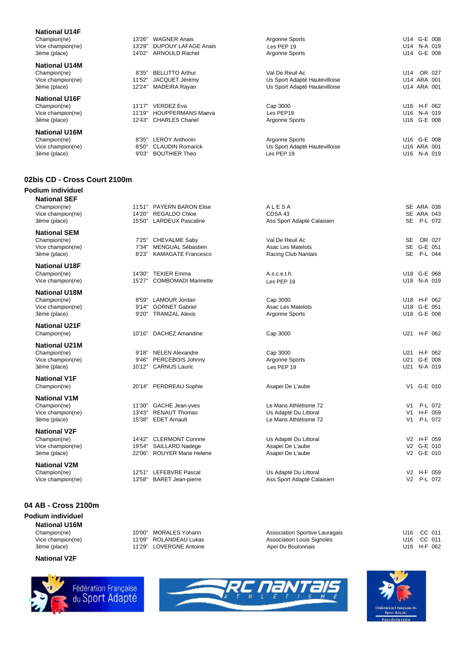| <b>National U14F</b><br>Champion(ne)<br>Vice champion(ne)<br>3ème (place) | 13'26'<br>13'29'<br>14'02" | <b>WAGNER Anais</b><br><b>DUPOUY LAFAGE Anais</b><br><b>ARNOULD Rachel</b> | Argonne Sports<br>Les PEP 19<br>Argonne Sports                                    | U14 G-E 008<br>U14<br>N-A 019<br>G-E 008<br>U14      |
|---------------------------------------------------------------------------|----------------------------|----------------------------------------------------------------------------|-----------------------------------------------------------------------------------|------------------------------------------------------|
| <b>National U14M</b><br>Champion(ne)<br>Vice champion(ne)<br>3ème (place) | 8'35'<br>11'52"<br>12'24'  | <b>BELLITTO Arthur</b><br>JACQUET Jérémy<br>MADEIRA Rayan                  | Val De Reuil Ac<br>Us Sport Adapté Hautevilloise<br>Us Sport Adapté Hautevilloise | U14<br>OR 027<br>U14 ARA 001<br>U14 ARA 001          |
| <b>National U16F</b><br>Champion(ne)<br>Vice champion(ne)<br>3ème (place) | 11'17'<br>11'19'<br>12'43" | <b>VERDEZ Eva</b><br><b>HOUPPERMANS Maeva</b><br><b>CHARLES Chanel</b>     | Cap 3000<br>Les PEP19<br>Argonne Sports                                           | $H-F$ 062<br>U16<br>U16<br>N-A 019<br>G-E 008<br>U16 |
| <b>National U16M</b><br>Champion(ne)<br>Vice champion(ne)<br>3ème (place) | 8'35'<br>8'50"<br>9'03''   | <b>LEROY Anthonin</b><br><b>CLAUDIN Romarick</b><br><b>BOUTHIER Theo</b>   | Argonne Sports<br>Us Sport Adapté Hautevilloise<br>Les PEP 19                     | G-E 008<br>U16<br>U16 ARA 001<br>U16<br>N-A 019      |

#### **02bis CD - Cross Court 2100m**

#### **Podium individuel National SEF**

# **04 AB - Cross 2100m**

**Podium individuel**

#### **National V2F**







| national SEF<br>Champion(ne)<br>Vice champion(ne)<br>3ème (place)         | 14'20"<br>15'50"           | 11'51" PAYERN BARON Elise<br><b>REGALDO Chloe</b><br><b>LARDEUX Pascaline</b> | ALESA<br>CDSA 43<br>Ass Sport Adapté Calaisien                          | SE ARA 038<br>SE ARA 043<br>SE P-L 072                                    |  |
|---------------------------------------------------------------------------|----------------------------|-------------------------------------------------------------------------------|-------------------------------------------------------------------------|---------------------------------------------------------------------------|--|
| <b>National SEM</b><br>Champion(ne)<br>Vice champion(ne)<br>3ème (place)  | 7'25"<br>7'34"<br>8'23"    | <b>CHEVALME Saby</b><br><b>MENGUAL Sébastien</b><br><b>KAMAGATE Francesco</b> | Val De Reuil Ac<br><b>Asac Les Matelots</b><br>Racing Club Nantais      | <b>SE</b><br>OR 027<br><b>SE</b><br>G-E 051<br><b>SE</b><br>P-L 044       |  |
| National U18F<br>Champion(ne)<br>Vice champion(ne)                        | 14'30"<br>15'27"           | <b>TEXIER Emma</b><br><b>COMBOMADI Marinette</b>                              | A.s.c.e.t.h.<br>Les PEP 19                                              | U18 G-E 068<br>U18 N-A 019                                                |  |
| National U18M<br>Champion(ne)<br>Vice champion(ne)<br>3ème (place)        | 8'59"<br>9'14"<br>9'20"    | LAMOUR Jordan<br><b>GORNET Gabriel</b><br><b>TRAMZAL Alexis</b>               | Cap 3000<br>Asac Les Matelots<br>Argonne Sports                         | H-F 062<br>U18<br>U18 G-E 051<br>U18 G-E 008                              |  |
| <b>National U21F</b><br>Champion(ne)                                      | 10'16"                     | <b>DACHEZ Amandine</b>                                                        | Cap 3000                                                                | U21 H-F 062                                                               |  |
| <b>National U21M</b><br>Champion(ne)<br>Vice champion(ne)<br>3ème (place) | 9'18"<br>9'46"<br>10'12"   | <b>NELEN Alexandre</b><br>PERCEBOIS Johnny<br><b>CARNUS Lauric</b>            | Cap 3000<br>Argonne Sports<br>Les PEP 19                                | U21 H-F 062<br>G-E 008<br>U21<br>N-A 019<br>U21                           |  |
| <b>National V1F</b><br>Champion(ne)                                       | 20'14"                     | <b>PERDREAU Sophie</b>                                                        | Asapei De L'aube                                                        | V1 G-E 010                                                                |  |
| National V1M<br>Champion(ne)<br>Vice champion(ne)<br>3ème (place)         | 11'30"<br>13'43"<br>15'38" | <b>GACHE Jean-yves</b><br><b>RENAUT Thomas</b><br><b>EDET Arnault</b>         | Le Mans Athlétisme 72<br>Us Adapté Du Littoral<br>Le Mans Athlétisme 72 | P-L 072<br>V1 l<br>H-F 059<br>V <sub>1</sub><br>P-L 072<br>V <sub>1</sub> |  |
| <b>National V2F</b><br>Champion(ne)<br>Vice champion(ne)<br>3ème (place)  | 14'42"<br>19'54"<br>22'06" | <b>CLERMONT Corinne</b><br>SAILLARD Nadege<br><b>ROUYER Marie Helene</b>      | Us Adapté Du Littoral<br>Asapei De L'aube<br>Asapei De L'aube           | V2 H-F 059<br>V2 G-E 010<br>V2 G-E 010                                    |  |
| National V2M<br>Champion(ne)<br>Vice champion(ne)                         | 13'58"                     | 12'51" LEFEBVRE Pascal<br><b>BARET Jean-pierre</b>                            | Us Adapté Du Littoral<br>Ass Sport Adapté Calaisien                     | H-F 059<br>V <sub>2</sub><br>V <sub>2</sub><br>P-L 072                    |  |
|                                                                           |                            |                                                                               |                                                                         |                                                                           |  |

**National U16M**<br>Champion(ne) **10'00''** MORALES Yohann

3ème (place)  $11'29''$  LOVERGNE Antoine

Champion(ne) 10'00'' MORALES Yohann Association Sportive Lauragais U16 CC 011 Vice champion(ne) 11'09" ROLANDEAU Lukas Association Louis Signoles 6 11 U16 CC 011<br>3ème (place) 11'29" LOVERGNE Antoine Apei Du Boulonnais 1016 H-F 062 Apei Du Boulonnais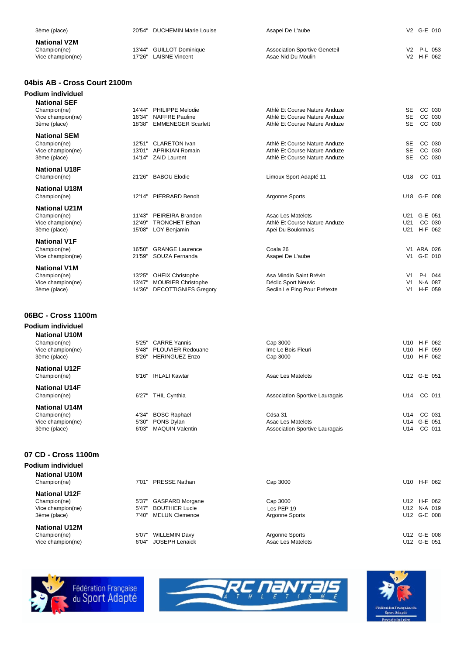| 3ème (place)                                             |        | 20'54" DUCHEMIN Marie Louise                         | Asapei De L'aube                                               |                                  | V2 G-E 010               |
|----------------------------------------------------------|--------|------------------------------------------------------|----------------------------------------------------------------|----------------------------------|--------------------------|
| <b>National V2M</b><br>Champion(ne)<br>Vice champion(ne) | 17'26" | 13'44" GUILLOT Dominique<br><b>LAISNE Vincent</b>    | <b>Association Sportive Geneteil</b><br>Asae Nid Du Moulin     |                                  | V2 P-L 053<br>V2 H-F 062 |
| 04bis AB - Cross Court 2100m                             |        |                                                      |                                                                |                                  |                          |
| Podium individuel                                        |        |                                                      |                                                                |                                  |                          |
| <b>National SEF</b>                                      |        |                                                      |                                                                |                                  |                          |
| Champion(ne)                                             | 14'44" | PHILIPPE Melodie                                     | Athlé Et Course Nature Anduze                                  | <b>SE</b>                        | CC 030                   |
| Vice champion(ne)<br>3ème (place)                        | 18'38" | 16'34" NAFFRE Pauline<br><b>EMMENEGER Scarlett</b>   | Athlé Et Course Nature Anduze<br>Athlé Et Course Nature Anduze | <b>SE</b><br><b>SE</b>           | CC 030<br>CC 030         |
| <b>National SEM</b>                                      |        |                                                      |                                                                |                                  |                          |
| Champion(ne)                                             |        | 12'51" CLARETON Ivan                                 | Athlé Et Course Nature Anduze                                  | <b>SE</b>                        | CC 030                   |
| Vice champion(ne)                                        |        | 13'01" APRIKIAN Romain                               | Athlé Et Course Nature Anduze                                  | <b>SE</b>                        | CC 030                   |
| 3ème (place)                                             |        | 14'14" ZAID Laurent                                  | Athlé Et Course Nature Anduze                                  | <b>SE</b>                        | CC 030                   |
| <b>National U18F</b>                                     |        |                                                      |                                                                |                                  |                          |
| Champion(ne)                                             |        | 21'26" BABOU Elodie                                  | Limoux Sport Adapté 11                                         | U18 CC 011                       |                          |
| <b>National U18M</b>                                     |        |                                                      |                                                                |                                  |                          |
| Champion(ne)                                             |        | 12'14" PIERRARD Benoit                               | Argonne Sports                                                 |                                  | U18 G-E 008              |
| <b>National U21M</b>                                     |        |                                                      |                                                                |                                  |                          |
| Champion(ne)<br>Vice champion(ne)                        | 11'43" | PEIREIRA Brandon<br>12'49" TRONCHET Ethan            | Asac Les Matelots<br>Athlé Et Course Nature Anduze             | U21                              | U21 G-E 051<br>CC 030    |
| 3ème (place)                                             |        | 15'08" LOY Benjamin                                  | Apei Du Boulonnais                                             |                                  | U21 H-F 062              |
| <b>National V1F</b>                                      |        |                                                      |                                                                |                                  |                          |
| Champion(ne)                                             | 16'50" | <b>GRANGE Laurence</b>                               | Coala 26                                                       |                                  | V1 ARA 026               |
| Vice champion(ne)                                        | 21'59" | SOUZA Fernanda                                       | Asapei De L'aube                                               |                                  | V1 G-E 010               |
| <b>National V1M</b>                                      |        |                                                      |                                                                |                                  |                          |
| Champion(ne)<br>Vice champion(ne)                        |        | 13'25" OHEIX Christophe<br>13'47" MOURIER Christophe | Asa Mindin Saint Brévin<br>Déclic Sport Neuvic                 | V <sub>1</sub><br>V <sub>1</sub> | P-L 044<br>N-A 087       |
| 3ème (place)                                             |        | 14'36" DECOTTIGNIES Gregory                          | Seclin Le Ping Pour Prétexte                                   | V1                               | H-F 059                  |
|                                                          |        |                                                      |                                                                |                                  |                          |
|                                                          |        |                                                      |                                                                |                                  |                          |
| 06BC - Cross 1100m                                       |        |                                                      |                                                                |                                  |                          |
| Podium individuel                                        |        |                                                      |                                                                |                                  |                          |
| <b>National U10M</b>                                     | 5'25'' | <b>CARRE Yannis</b>                                  | Cap 3000                                                       |                                  | U10 H-F 062              |
| Champion(ne)<br>Vice champion(ne)                        | 5'48"  | <b>PLOUVIER Redouane</b>                             | Ime Le Bois Fleuri                                             |                                  | U10 H-F 059              |
| 3ème (place)                                             | 8'26"  | <b>HERINGUEZ Enzo</b>                                | Cap 3000                                                       |                                  | U10 H-F 062              |
|                                                          |        |                                                      |                                                                |                                  |                          |

**National U12F**

**National U14F**<br>Champion(ne) 6'27" THIL Cynthia Champion(ne) 6'27" THIL Cynthia Association Sportive Lauragais 6'14 CC 011

**National U14M** Champion(ne) 4'34" BOSC Raphael Cdsa 31 U14 CC 031<br>Vice champion(ne) 5'30" PONS Dylan Asac Les Matelots U14 G-E 051 3ème (place) 6'03" MAQUIN Valentin Association Sportive Lauragais Control of the Association Sportive Lauragais

#### **07 CD - Cross 1100m**

**Podium individuel National U10M**

**National U12F**

**National U12M**

Champion(ne) 5'37'' GASPARD Morgane Cap 3000 U12 H-F 062 Vice champion(ne) 547" BOUTHIER Lucie CHAMPION CHE PEP 19 DES PEP 19 U12 N-A 019<br>
3ème (place) 7'40" MELUN Clemence Argonne Sports U12 G-E 008 7'40" MELUN Clemence Champion(ne) 5'07" WILLEMIN Davy Argonne Sports Champion(ne) U12 G-E 008<br>Vice champion(ne) 6'04" JOSEPH Lenaick Asac Les Matelots State Champion(ne) U12 G-E 051 6'04" JOSEPH Lenaick Les PEP 19

Champion(ne) 6'16'' IHLALI Kawtar Asac Les Matelots U12 G-E 051

Vice champion(ne) 5'30'' PONS Dylan Asac Les Matelots U14 G-E 051

Champion(ne) 7'01'' PRESSE Nathan Cap 3000 U10 H-F 062





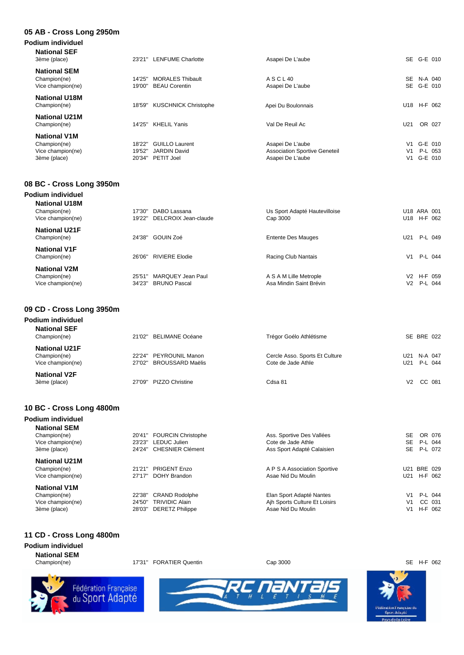#### **05 AB - Cross Long 2950m**

| Podium individuel<br><b>National SEF</b><br>3ème (place) | 23'21"           | <b>LENFUME Charlotte</b>                        | Asapei De L'aube                     |                | SE G-E 010               |
|----------------------------------------------------------|------------------|-------------------------------------------------|--------------------------------------|----------------|--------------------------|
| <b>National SEM</b><br>Champion(ne)<br>Vice champion(ne) | 14'25"<br>19'00" | <b>MORALES Thibault</b><br><b>BEAU Corentin</b> | A S C L 40<br>Asapei De L'aube       |                | SE N-A 040<br>SE G-E 010 |
| <b>National U18M</b><br>Champion(ne)                     | 18'59"           | <b>KUSCHNICK Christophe</b>                     | Apei Du Boulonnais                   |                | U18 H-F 062              |
| <b>National U21M</b><br>Champion(ne)                     | 14'25"           | <b>KHELIL Yanis</b>                             | Val De Reuil Ac                      | U21            | OR 027                   |
| <b>National V1M</b>                                      |                  |                                                 |                                      |                |                          |
| Champion(ne)                                             | 18'22"           | <b>GUILLO Laurent</b>                           | Asapei De L'aube                     | V1             | G-E 010                  |
| Vice champion(ne)                                        | 19'52"           | <b>JARDIN David</b>                             | <b>Association Sportive Geneteil</b> | V <sub>1</sub> | P-L 053                  |
| 3ème (place)                                             |                  | 20'34" PETIT Joel                               | Asapei De L'aube                     |                | V1 G-E 010               |

### **08 BC - Cross Long 3950m**

| Podium individuel                                         |                                                              |                                                   |                                         |
|-----------------------------------------------------------|--------------------------------------------------------------|---------------------------------------------------|-----------------------------------------|
| <b>National U18M</b><br>Champion(ne)<br>Vice champion(ne) | DABO Lassana<br>17'30'<br>19'22"<br>DELCROIX Jean-claude     | Us Sport Adapté Hautevilloise<br>Cap 3000         | U18 ARA 001<br>U18 H-F 062              |
| <b>National U21F</b><br>Champion(ne)                      | GOUIN Zoé<br>24'38"                                          | <b>Entente Des Mauges</b>                         | P-L 049<br>U21                          |
| <b>National V1F</b><br>Champion(ne)                       | <b>RIVIERE Elodie</b><br>26'06"                              | Racing Club Nantais                               | P-L 044<br>V <sub>1</sub>               |
| <b>National V2M</b><br>Champion(ne)<br>Vice champion(ne)  | MARQUEY Jean Paul<br>25'51"<br>34'23"<br><b>BRUNO Pascal</b> | A S A M Lille Metrople<br>Asa Mindin Saint Brévin | V2 H-F 059<br>P-L 044<br>V <sub>2</sub> |

### **09 CD - Cross Long 3950m**

| Podium individuel                   |        |                         |                                |     |             |
|-------------------------------------|--------|-------------------------|--------------------------------|-----|-------------|
| <b>National SEF</b><br>Champion(ne) |        | 21'02" BELIMANE Océane  | Trégor Goélo Athlétisme        |     | SE BRE 022  |
| <b>National U21F</b>                |        |                         |                                |     |             |
| Champion(ne)                        |        | 22'24" PEYROUNIL Manon  | Cercle Asso. Sports Et Culture | U21 | N-A 047     |
| Vice champion(ne)                   |        | 27'02" BROUSSARD Maëlis | Cote de Jade Athle             |     | U21 P-L 044 |
| <b>National V2F</b>                 |        |                         |                                |     |             |
| 3ème (place)                        | 27'09" | PIZZO Christine         | Cdsa 81                        | V2  | CC 081      |
|                                     |        |                         |                                |     |             |

#### **10 BC - Cross Long 4800m Podium individuel**

| Pogium malviquel     |        |                           |                               |     |             |
|----------------------|--------|---------------------------|-------------------------------|-----|-------------|
| <b>National SEM</b>  |        |                           |                               |     |             |
| Champion(ne)         |        | 20'41" FOURCIN Christophe | Ass. Sportive Des Vallées     | SE. | OR 076      |
| Vice champion(ne)    |        | 23'23" LEDUC Julien       | Cote de Jade Athle            | SE  | P-L 044     |
| 3ème (place)         |        | 24'24" CHESNIER Clément   | Ass Sport Adapté Calaisien    |     | SE P-L 072  |
| <b>National U21M</b> |        |                           |                               |     |             |
| Champion(ne)         |        | 21'21" PRIGENT Enzo       | A P S A Association Sportive  |     | U21 BRE 029 |
| Vice champion(ne)    |        | 27'17" DOHY Brandon       | Asae Nid Du Moulin            | U21 | H-F 062     |
| <b>National V1M</b>  |        |                           |                               |     |             |
| Champion(ne)         | 22'38" | <b>CRAND Rodolphe</b>     | Elan Sport Adapté Nantes      |     | V1 P-L 044  |
| Vice champion(ne)    | 24'50" | <b>TRIVIDIC Alain</b>     | Ajh Sports Culture Et Loisirs | V1  | CC 031      |
| 3ème (place)         |        | 28'03" DERETZ Philippe    | Asae Nid Du Moulin            | V1  | H-F 062     |
|                      |        |                           |                               |     |             |

### **11 CD - Cross Long 4800m**

**Podium individuel National SEM**

Champion(ne) 17'31" FORATIER Quentin Cap 3000 Cap 3000